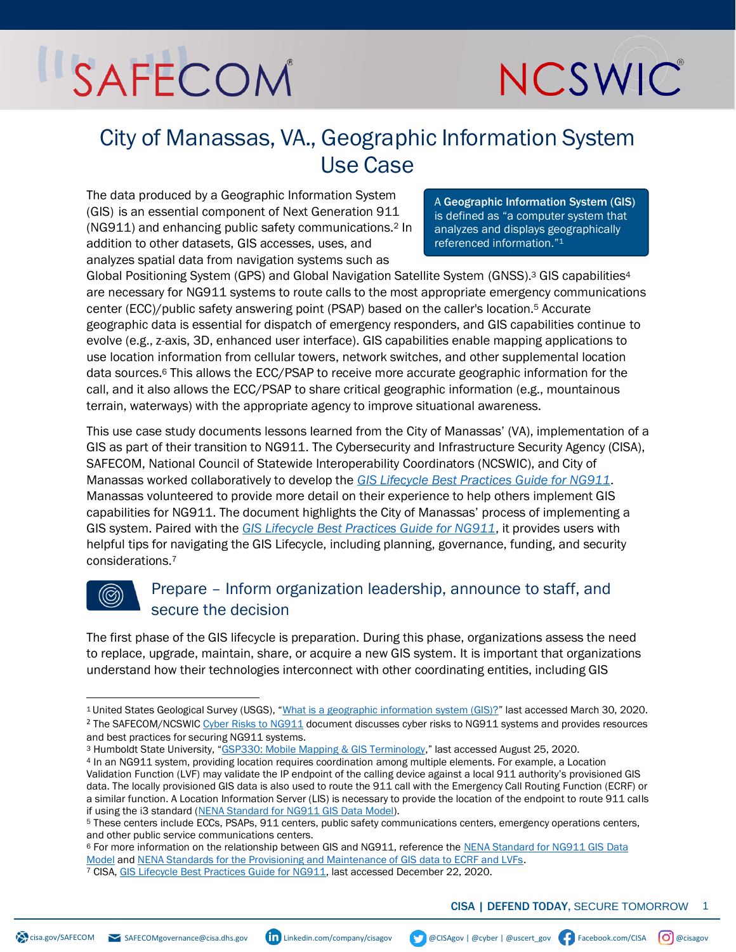### NCSWIC

### City of Manassas, VA., Geographic Information System Use Case

The data produced by a Geographic Information System (GIS) is an essential component of Next Generation 911 (NG911) and enhancing public safety communications.<sup>2</sup> In addition to other datasets, GIS accesses, uses, and analyzes spatial data from navigation systems such as

A Geographic Information System (GIS) is defined as "a computer system that analyzes and displays geographically referenced information."<sup>1</sup>

Global Positioning System (GPS) and Global Navigation Satellite System (GNSS).<sup>3</sup> GIS capabilities<sup>4</sup> are necessary for NG911 systems to route calls to the most appropriate emergency communications center (ECC)/public safety answering point (PSAP) based on the caller's location.<sup>5</sup> Accurate geographic data is essential for dispatch of emergency responders, and GIS capabilities continue to evolve (e.g., z-axis, 3D, enhanced user interface). GIS capabilities enable mapping applications to use location information from cellular towers, network switches, and other supplemental location data sources.<sup>6</sup> This allows the ECC/PSAP to receive more accurate geographic information for the call, and it also allows the ECC/PSAP to share critical geographic information (e.g., mountainous terrain, waterways) with the appropriate agency to improve situational awareness.

This use case study documents lessons learned from the City of Manassas' (VA), implementation of a GIS as part of their transition to NG911. The Cybersecurity and Infrastructure Security Agency (CISA), SAFECOM, National Council of Statewide Interoperability Coordinators (NCSWIC), and City of Manassas worked collaboratively to develop the *[GIS Lifecycle Best Practices Guide for NG911](https://www.cisa.gov/sites/default/files/publications/SAFECOM-NCSWIC_GIS%20Lifecycle%20Best%20Practices%20Guide_9.22.20%20-%20FINAL_%28508c%29.pdf)*. Manassas volunteered to provide more detail on their experience to help others implement GIS capabilities for NG911. The document highlights the City of Manassas' process of implementing a GIS system. Paired with the *[GIS Lifecycle Best Practices Guide for NG911](https://www.cisa.gov/sites/default/files/publications/SAFECOM-NCSWIC_GIS%20Lifecycle%20Best%20Practices%20Guide_9.22.20%20-%20FINAL_%28508c%29.pdf)*, it provides users with helpful tips for navigating the GIS Lifecycle, including planning, governance, funding, and security considerations.<sup>7</sup>

### Prepare – Inform organization leadership, announce to staff, and secure the decision

The first phase of the GIS lifecycle is preparation. During this phase, organizations assess the need to replace, upgrade, maintain, share, or acquire a new GIS system. It is important that organizations understand how their technologies interconnect with other coordinating entities, including GIS

<sup>1</sup> United States Geological Survey (USGS), "[What is a geographic information system \(GIS\)?](https://www.usgs.gov/faqs/what-a-geographic-information-system-gis?qt-news_science_products=0#qt-news_science_products)" last accessed March 30, 2020. <sup>2</sup> The SAFECOM/NCSWI[C Cyber Risks to NG911](https://www.cisa.gov/safecom/next-generation-911) document discusses cyber risks to NG911 systems and provides resources and best practices for securing NG911 systems.

<sup>3</sup> Humboldt State University, "[GSP330: Mobile Mapping & GIS Terminology](http://gis.humboldt.edu/club/old_website/Images/Documents/MobileMapping_Terminology.pdf)," last accessed August 25, 2020.

<sup>4</sup> In an NG911 system, providing location requires coordination among multiple elements. For example, a Location Validation Function (LVF) may validate the IP endpoint of the calling device against a local 911 authority's provisioned GIS data. The locally provisioned GIS data is also used to route the 911 call with the Emergency Call Routing Function (ECRF) or a similar function. A Location Information Server (LIS) is necessary to provide the location of the endpoint to route 911 calls if using the i3 standard [\(NENA Standard for NG911 GIS Data Model\)](https://www.nena.org/page/NG911GISDataModel).

<sup>5</sup> These centers include ECCs, PSAPs, 911 centers, public safety communications centers, emergency operations centers, and other public service communications centers.

<sup>6</sup> For more information on the relationship between GIS and NG911, reference the [NENA Standard for NG911 GIS](https://www.nena.org/page/NG911GISDataModel) Data [Model](https://www.nena.org/page/NG911GISDataModel) an[d NENA Standards for the Provisioning and Maintenance of GIS data to ECRF and LVFs.](https://www.nena.org/page/ProvGISECRFLVF) <sup>7</sup> CISA[, GIS Lifecycle Best Practices Guide for NG911,](https://www.cisa.gov/sites/default/files/publications/SAFECOM-NCSWIC_GIS%20Lifecycle%20Best%20Practices%20Guide_9.22.20%20-%20FINAL_%28508c%29.pdf) last accessed December 22, 2020.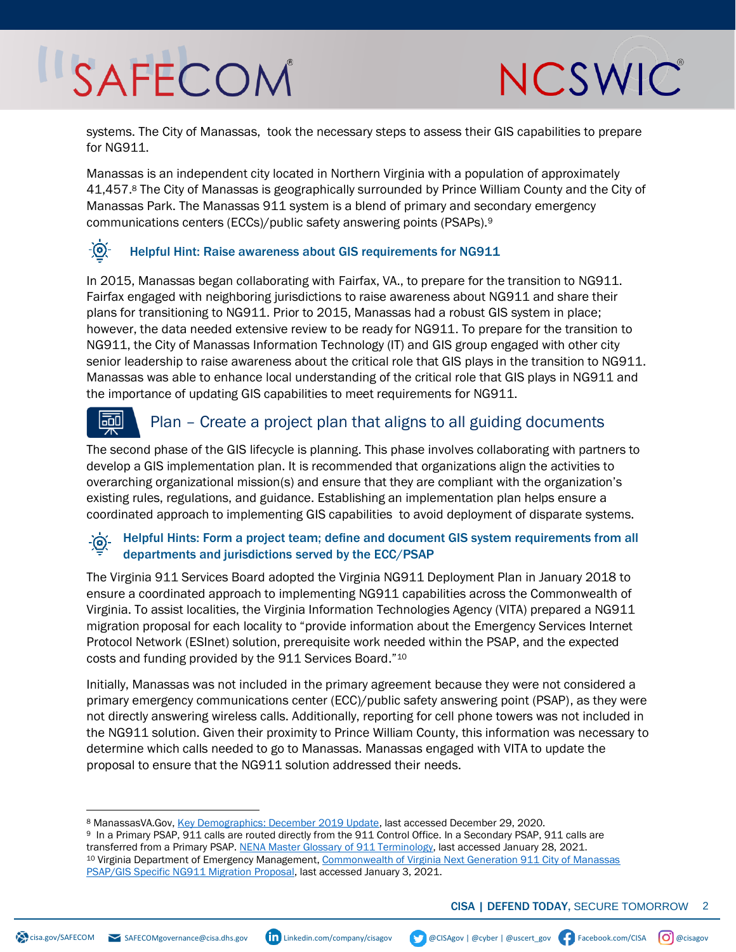NCSWIC

systems. The City of Manassas, took the necessary steps to assess their GIS capabilities to prepare for NG911.

Manassas is an independent city located in Northern Virginia with a population of approximately 41,457.<sup>8</sup> The City of Manassas is geographically surrounded by Prince William County and the City of Manassas Park. The Manassas 911 system is a blend of primary and secondary emergency communications centers (ECCs)/public safety answering points (PSAPs).<sup>9</sup>

#### <u>-@-</u> Helpful Hint: Raise awareness about GIS requirements for NG911

In 2015, Manassas began collaborating with Fairfax, VA., to prepare for the transition to NG911. Fairfax engaged with neighboring jurisdictions to raise awareness about NG911 and share their plans for transitioning to NG911. Prior to 2015, Manassas had a robust GIS system in place; however, the data needed extensive review to be ready for NG911. To prepare for the transition to NG911, the City of Manassas Information Technology (IT) and GIS group engaged with other city senior leadership to raise awareness about the critical role that GIS plays in the transition to NG911. Manassas was able to enhance local understanding of the critical role that GIS plays in NG911 and the importance of updating GIS capabilities to meet requirements for NG911.

#### 剾 Plan – Create a project plan that aligns to all guiding documents

The second phase of the GIS lifecycle is planning. This phase involves collaborating with partners to develop a GIS implementation plan. It is recommended that organizations align the activities to overarching organizational mission(s) and ensure that they are compliant with the organization's existing rules, regulations, and guidance. Establishing an implementation plan helps ensure a coordinated approach to implementing GIS capabilities to avoid deployment of disparate systems.

#### Helpful Hints: Form a project team; define and document GIS system requirements from all  $-\bigcirc$ departments and jurisdictions served by the ECC/PSAP

The Virginia 911 Services Board adopted the Virginia NG911 Deployment Plan in January 2018 to ensure a coordinated approach to implementing NG911 capabilities across the Commonwealth of Virginia. To assist localities, the Virginia Information Technologies Agency (VITA) prepared a NG911 migration proposal for each locality to "provide information about the Emergency Services Internet Protocol Network (ESInet) solution, prerequisite work needed within the PSAP, and the expected costs and funding provided by the 911 Services Board." 10

Initially, Manassas was not included in the primary agreement because they were not considered a primary emergency communications center (ECC)/public safety answering point (PSAP), as they were not directly answering wireless calls. Additionally, reporting for cell phone towers was not included in the NG911 solution. Given their proximity to Prince William County, this information was necessary to determine which calls needed to go to Manassas. Manassas engaged with VITA to update the proposal to ensure that the NG911 solution addressed their needs.

<sup>8</sup> ManassasVA.Gov[, Key Demographics: December 2019 Update,](https://www.manassasva.gov/Community%20Development/demographics%20and%20development/demographics%20report.pdf) last accessed December 29, 2020.

<sup>9</sup> In a Primary PSAP, 911 calls are routed directly from the 911 Control Office. In a Secondary PSAP, 911 calls are transferred from a Primary PSAP[. NENA Master Glossary of 911 Terminology,](https://cdn.ymaws.com/www.nena.org/resource/collection/87746f21-d7d1-4907-bc5a-685a1d047b0a/NENA_00-001_V15_Master_Glossary.pdf?hhSearchTerms=%22glossar%22) last accessed January 28, 2021. <sup>10</sup> Virginia Department of Emergency Management[, Commonwealth of Virginia Next Generation 911 City of Manassas](https://www.vita.virginia.gov/media/vitavirginiagov/integrated-services/psap-grant-program/mp-and-pal/MPPALManassas-.pdf)  [PSAP/GIS Specific NG911 Migration Proposal,](https://www.vita.virginia.gov/media/vitavirginiagov/integrated-services/psap-grant-program/mp-and-pal/MPPALManassas-.pdf) last accessed January 3, 2021.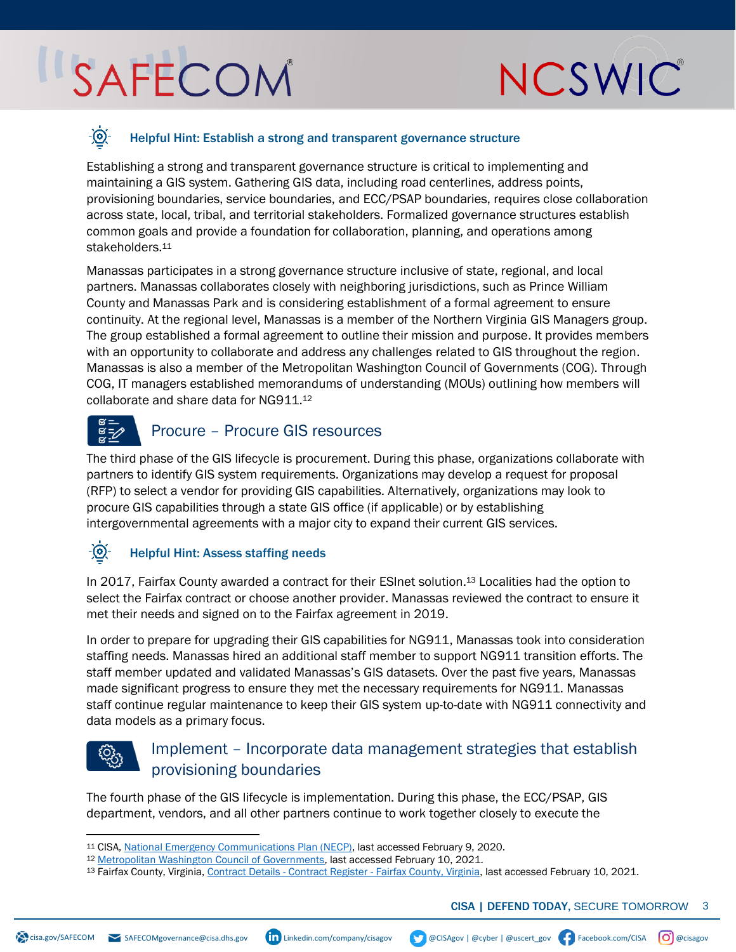## NCSWIC

#### <u>-@-</u> Helpful Hint: Establish a strong and transparent governance structure

Establishing a strong and transparent governance structure is critical to implementing and maintaining a GIS system. Gathering GIS data, including road centerlines, address points, provisioning boundaries, service boundaries, and ECC/PSAP boundaries, requires close collaboration across state, local, tribal, and territorial stakeholders. Formalized governance structures establish common goals and provide a foundation for collaboration, planning, and operations among stakeholders.<sup>11</sup>

Manassas participates in a strong governance structure inclusive of state, regional, and local partners. Manassas collaborates closely with neighboring jurisdictions, such as Prince William County and Manassas Park and is considering establishment of a formal agreement to ensure continuity. At the regional level, Manassas is a member of the Northern Virginia GIS Managers group. The group established a formal agreement to outline their mission and purpose. It provides members with an opportunity to collaborate and address any challenges related to GIS throughout the region. Manassas is also a member of the Metropolitan Washington Council of Governments (COG). Through COG, IT managers established memorandums of understanding (MOUs) outlining how members will collaborate and share data for NG911.<sup>12</sup>

### Procure – Procure GIS resources

The third phase of the GIS lifecycle is procurement. During this phase, organizations collaborate with partners to identify GIS system requirements. Organizations may develop a request for proposal (RFP) to select a vendor for providing GIS capabilities. Alternatively, organizations may look to procure GIS capabilities through a state GIS office (if applicable) or by establishing intergovernmental agreements with a major city to expand their current GIS services.

#### <u>-@1</u> Helpful Hint: Assess staffing needs

In 2017, Fairfax County awarded a contract for their ESInet solution. <sup>13</sup> Localities had the option to select the Fairfax contract or choose another provider. Manassas reviewed the contract to ensure it met their needs and signed on to the Fairfax agreement in 2019.

In order to prepare for upgrading their GIS capabilities for NG911, Manassas took into consideration staffing needs. Manassas hired an additional staff member to support NG911 transition efforts. The staff member updated and validated Manassas's GIS datasets. Over the past five years, Manassas made significant progress to ensure they met the necessary requirements for NG911. Manassas staff continue regular maintenance to keep their GIS system up-to-date with NG911 connectivity and data models as a primary focus.

### Implement – Incorporate data management strategies that establish provisioning boundaries

The fourth phase of the GIS lifecycle is implementation. During this phase, the ECC/PSAP, GIS department, vendors, and all other partners continue to work together closely to execute the

<sup>11</sup> CISA[, National Emergency Communications Plan \(NECP\),](https://www.cisa.gov/sites/default/files/publications/19_0924_CISA_ECD-NECP-2019_0.pdf) last accessed February 9, 2020.

<sup>12</sup> [Metropolitan Washington Council of Governments,](https://www.mwcog.org/) last accessed February 10, 2021.

<sup>13</sup> [Fairfax County, Virginia,](https://www.fairfaxcounty.gov/cregister/ContractDetails.aspx?contractNumber=4400007825) Contract Details - Contract Register - Fairfax County, Virginia, last accessed February 10, 2021.